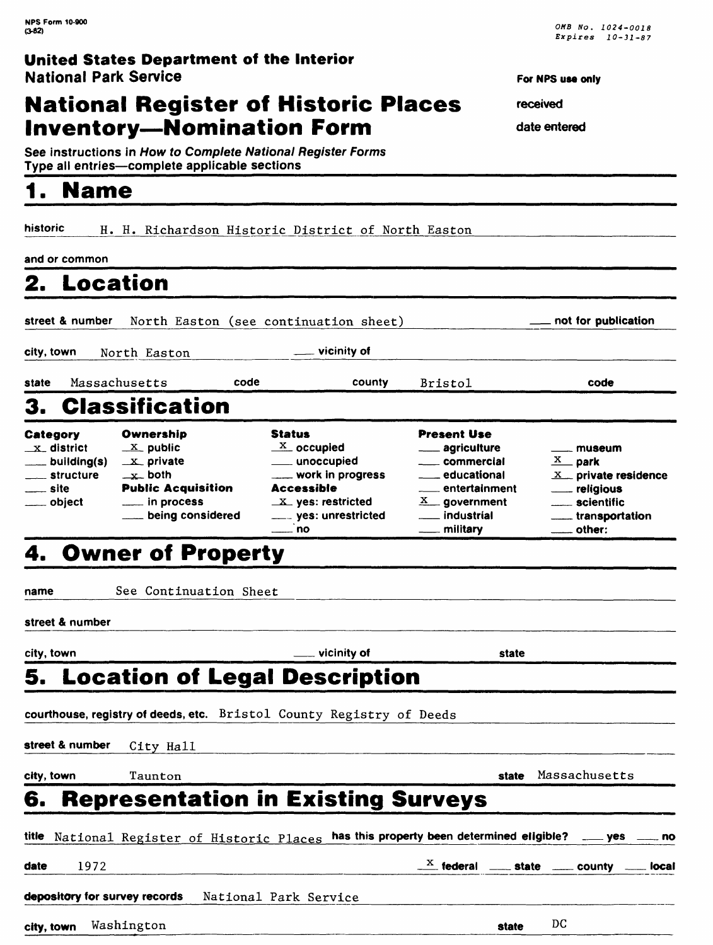# **National Register of Historic Places Inventory-Nomination Form**

See instructions in How to Complete National Register Forms

# **1. Name**

historic H. H. Richardson Historic District of North Easton

and or common

# **2. Location**

Type all entries-complete applicable sections

street & number North Easton (see continuation sheet) **\_\_ not for publication city, town North Easton vicinity of** state Massachusetts code county Bristol code 3. Classification Category  $x<sub>-</sub>$  district building(s) structure site object **Ownership**  $X$  public  $x$  private  $\mathbf{x}$  both Public Acquisition <u>\_\_\_\_</u> in process being considered Status  $\frac{X}{x}$  occupied unoccupied work in progress Accessible  $x$  yes: restricted \_\_ yes: unrestricted no Present Use \_agriculture \_\_ commercial educational entertainment  $X$  government \_\_ industrial military \_\_ museum  $\overline{\mathbf{x}}$  park  $X$  private residence religious scientific other:

# **4. Owner of Property**

name See Continuation Sheet

street & number

city, town state state and the state of state state of state state state state state state state state state  $\sim$ **5. Location of Legal Description courthouse, registry of deeds, etc.** Bristol County Registry of Deeds **street & number** City Hall **city, town** Taunton **state** Massachusetts **6. Representation in Existing Surveys** title National Register of Historic Places **has this property been determined eligible? ——yes ——no date** 1972\_\_\_\_\_\_\_\_\_\_\_\_\_\_\_\_\_\_\_\_\_\_\_\_\_\_\_\_\_\_\_\_\_ \*\_ **federal \_\_ state \_\_ county \_\_ local**  depository for survey records National Park Service **with any of the service** and the service of the service of the

**city, town** Washington **state** DC

**For NFS use only** 

**received** 

**date entered**

\_\_ transportation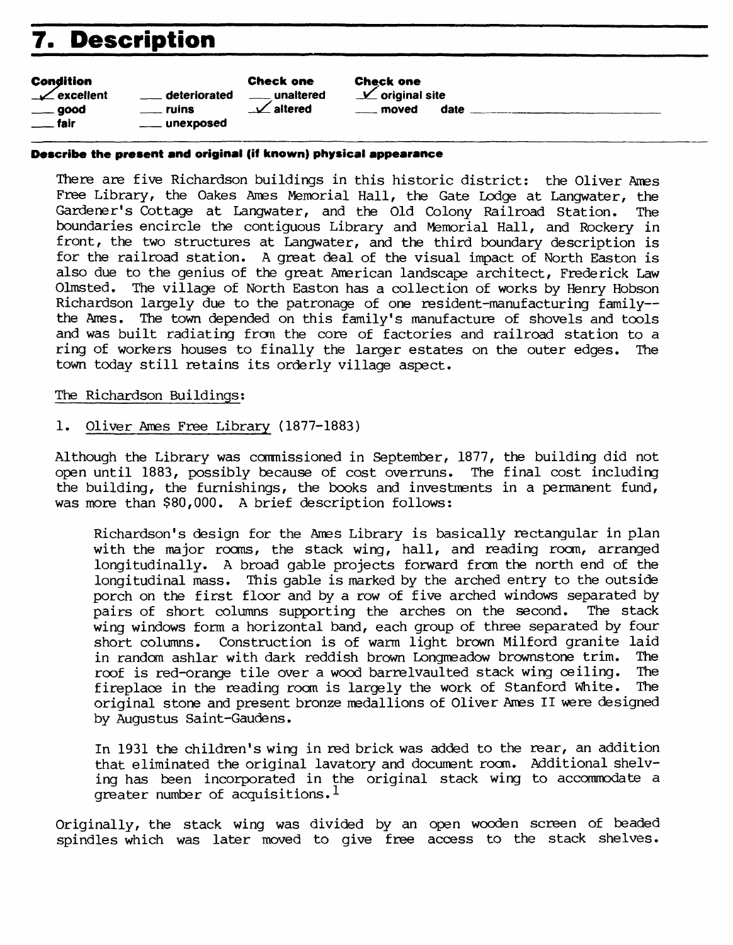# **7. Description**

| <b>Condition</b>               |                    | <b>Check one</b>      |
|--------------------------------|--------------------|-----------------------|
| $\sqrt{\phantom{a}}$ excellent | deteriorated       | <u>_</u> ___unaltered |
| $\rule{1em}{0.15mm}$ good      | <u>_</u> ___ ruins | $\angle$ altered      |
| $\equiv$ fair                  | ___ unexposed      |                       |

Check one  $\angle$  original site moved date

#### **Describe the present and original (if known) physical appearance**

There are five Richardson buildings in this historic district: the Oliver Ames Free Library, the Oakes Ames Memorial Hall, the Gate Lodge at Langwater, the Gardener's Cottage at Langwater, and the Old Colony Railroad Station. The boundaries encircle the contiguous Library and Memorial Hall, and Rockery in front, the two structures at Langwater, and the third boundary description is for the railroad station. A great deal of the visual impact of North Easton is also due to the genius of the great American landscape architect, Frederick Law Olmsted. The village of North Easton has a collection of works by Henry Hobson Richardson largely due to the patronage of one resident-manufacturing family-the Ames. The town depended on this family's manufacture of shovels and tools and was built radiating from the core of factories and railroad station to a ring of workers houses to finally the larger estates on the outer edges. The town today still retains its orderly village aspect.

#### The Richardson Buildings;

#### 1. Oliver Ames Free Library (1877-1883)

Although the Library was commissioned in September, 1877, the building did not open until 1883, possibly because of cost overruns. The final cost including the building, the furnishings, the books and investments in a permanent fund, was more than \$80,000. A brief description follows:

Richardson's design for the Ames Library is basically rectangular in plan with the major rooms, the stack wing, hall, and reading room, arranged longitudinally. A broad gable projects forward from the north end of the longitudinal mass. This gable is marked by the arched entry to the outside porch on the first floor and by a row of five arched windows separated by<br>pairs of short columns supporting the arches on the second. The stack pairs of short columns supporting the arches on the second. wing windows form a horizontal band, each group of three separated by four short columns. Construction is of warm light brown Milford granite laid<br>in random ashlar with dark reddish brown Lonomeadow brownstone trim. The in random ashlar with dark reddish brown Longmeadow brownstone trim. The roof is red-orance tile over a wood barrely aulted stack wing ceiling. The roof is red-orange tile over a wood barrelvaulted stack wing ceiling. The fireplace in the reading room is largely the work of Stanford White. The fireplace in the reading room is largely the work of Stanford White. original stone and present bronze medallions of Oliver Ames II were designed by Augustus Saint-Gaudens.

In 1931 the children's wing in red brick was added to the rear, an addition that eliminated the original lavatory and document room. Additional shelving has been incorporated in the original stack wing to accommodate a greater number of acquisitions.<sup>1</sup>

Originally, the stack wing was divided by an open wooden screen of beaded spindles which was later moved to give free access to the stack shelves.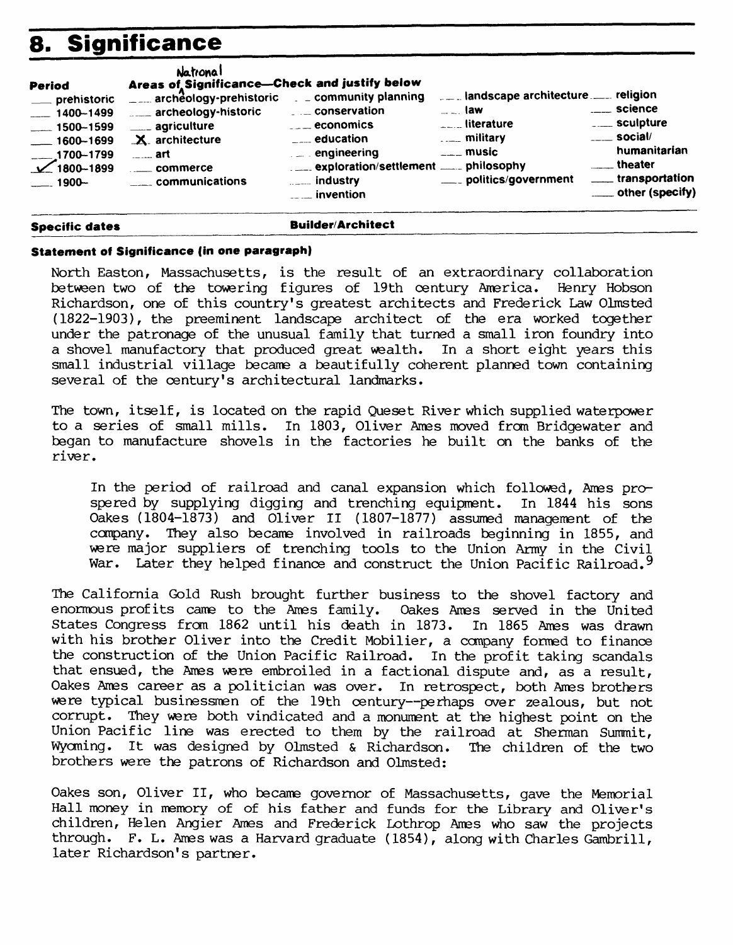# **8. Significance**

| <b>Period</b><br>__ prehistoric<br>$- 1400 - 1499$<br>$\frac{1}{2}$ 1500 - 1599<br>$-1600 - 1699$<br>$\overline{\smash{\big)}\phantom{1}}^{1700-1799}_{1800-1899}$<br>$-1900-$ | Natronal<br>Areas of Significance-Check and justify below<br>archeology-prehistoric community planning<br>archeology-historic<br>____ agriculture<br>$X$ architecture<br>$\overline{\phantom{a}}$ art<br>$\frac{1}{2}$ commerce<br>_____ communications | $\ldots$ conservation<br>$\overline{\phantom{a}}$ economics<br>$\frac{1}{2}$ education<br>$\mathcal{L} = 0$ engineering<br>$\frac{1}{2}$ industry<br>$\frac{1}{2}$ invention | landscape architecture religion<br>$\sim$ $\sim$ law<br>$\Gamma$ = $\Gamma$ = literature<br>$\overline{\phantom{a}}$ music<br>____ politics/government | <u>_</u> __ science<br>____ sculpture<br>$\frac{1}{2}$ social/<br>humanitarian<br>_____ theater<br>____ transportation<br>____ other (specify) |
|--------------------------------------------------------------------------------------------------------------------------------------------------------------------------------|---------------------------------------------------------------------------------------------------------------------------------------------------------------------------------------------------------------------------------------------------------|------------------------------------------------------------------------------------------------------------------------------------------------------------------------------|--------------------------------------------------------------------------------------------------------------------------------------------------------|------------------------------------------------------------------------------------------------------------------------------------------------|
|--------------------------------------------------------------------------------------------------------------------------------------------------------------------------------|---------------------------------------------------------------------------------------------------------------------------------------------------------------------------------------------------------------------------------------------------------|------------------------------------------------------------------------------------------------------------------------------------------------------------------------------|--------------------------------------------------------------------------------------------------------------------------------------------------------|------------------------------------------------------------------------------------------------------------------------------------------------|

#### **Specific dates Builder/Architect**

#### **Statement of Significance (in one paragraph)**

North Easton, Massachusetts, is the result of an extraordinary collaboration between two of the towering figures of 19th century America. Henry Hobson Richardson, one of this country's greatest architects and Frederick Law Olmsted (1822-1903), the preeminent landscape architect of the era worked together under the patronage of the unusual family that turned a small iron foundry into a shovel manufactory that produced great wealth. In a short eight years this small industrial village became a beautifully coherent planned town containing several of the century's architectural landmarks.

The town, itself, is located on the rapid Queset River which supplied waterpower to a series of small mills. In 1803, Oliver Ames moved from Bridgewater and began to manufacture shovels in the factories he built on the banks of the river.

In the period of railroad and canal expansion which followed, Ames prospered by supplying digging and trenching equipment. In 1844 his sons Oakes (1804-1873) and Oliver II (1807-1877) assumed management of the company. They also became involved in railroads beginning in 1855, and were major suppliers of trenching tools to the Union Army in the Civil War. Later they helped finance and construct the Union Pacific Railroad.<sup>9</sup>

The California Gold Rush brought further business to the shovel factory and enormous profits came to the Ames family. Oakes Ames served in the United States Congress from 1862 until his death in 1873. In 1865 Ames was drawn with his brother Oliver into the Credit Mobilier, a company formed to finance the construction of the Union Pacific Railroad. In the profit taking scandals that ensued, the Ames were embroiled in a factional dispute and, as a result, Oakes Ames career as a politician was over. In retrospect, both Ames brothers were typical businessmen of the 19th century--perhaps over zealous, but not corrupt. They were both vindicated and a monument at the highest point on the Union Pacific line was erected to them by the railroad at Sherman Summit, Wyoming. It was designed by Olmsted & Richardson. The children of the two brothers were the patrons of Richardson and Olmsted:

Oakes son, Oliver II, who became governor of Massachusetts, gave the Memorial Hall money in memory of of his father and funds for the Library and Oliver's children, Helen Angier Ames and Frederick Lothrop Ames who saw the projects through. F. L. Ames was a Harvard graduate (1854), along with Charles Gambrill, later Richardson's partner.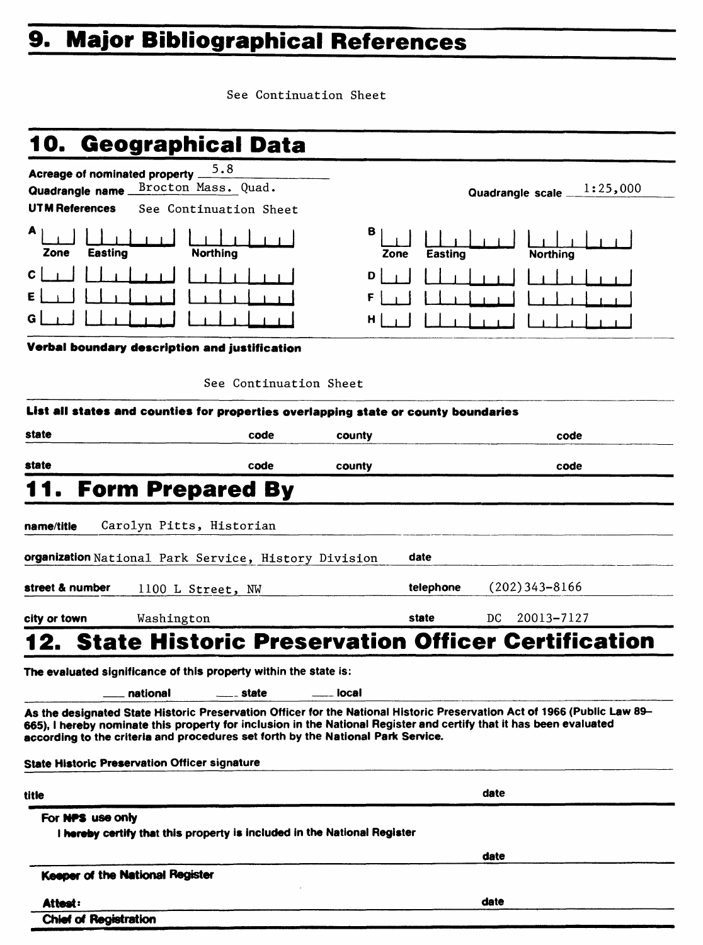# **9. Major Bibliographical References**

See Continuation Sheet

# **10. Geographical Data**

| Acreage of nominated property                                                                                                                                                                                                                                                                                                       | 5.8                                                                      |           |                                                          |            |
|-------------------------------------------------------------------------------------------------------------------------------------------------------------------------------------------------------------------------------------------------------------------------------------------------------------------------------------|--------------------------------------------------------------------------|-----------|----------------------------------------------------------|------------|
| Quadrangle name                                                                                                                                                                                                                                                                                                                     | Brocton Mass. Quad.                                                      |           | Quadrangle scale                                         | 1:25,000   |
| <b>UTM References</b>                                                                                                                                                                                                                                                                                                               | See Continuation Sheet                                                   |           |                                                          |            |
| A<br><b>Easting</b><br>Zone                                                                                                                                                                                                                                                                                                         | <b>Northing</b>                                                          | в<br>Zone | Easting<br><b>Northing</b>                               |            |
| с                                                                                                                                                                                                                                                                                                                                   |                                                                          | D         |                                                          |            |
|                                                                                                                                                                                                                                                                                                                                     |                                                                          | F         |                                                          |            |
|                                                                                                                                                                                                                                                                                                                                     |                                                                          | н         |                                                          |            |
|                                                                                                                                                                                                                                                                                                                                     |                                                                          |           |                                                          |            |
| Verbal boundary description and justification                                                                                                                                                                                                                                                                                       |                                                                          |           |                                                          |            |
|                                                                                                                                                                                                                                                                                                                                     | See Continuation Sheet                                                   |           |                                                          |            |
| List all states and counties for properties overlapping state or county boundaries                                                                                                                                                                                                                                                  |                                                                          |           |                                                          |            |
| state                                                                                                                                                                                                                                                                                                                               | code                                                                     | county    |                                                          | code       |
| state                                                                                                                                                                                                                                                                                                                               | code                                                                     | county    |                                                          | code       |
| 11.                                                                                                                                                                                                                                                                                                                                 | <b>Form Prepared By</b>                                                  |           |                                                          |            |
|                                                                                                                                                                                                                                                                                                                                     |                                                                          |           |                                                          |            |
| name/title                                                                                                                                                                                                                                                                                                                          | Carolyn Pitts, Historian                                                 |           |                                                          |            |
| organization National Park Service, History Division                                                                                                                                                                                                                                                                                |                                                                          |           | date                                                     |            |
| street & number                                                                                                                                                                                                                                                                                                                     | 1100 L Street, NW                                                        |           | $(202)$ 343-8166<br>telephone                            |            |
| Washington<br>city or town                                                                                                                                                                                                                                                                                                          |                                                                          |           | state<br>DC                                              | 20013-7127 |
| 12.                                                                                                                                                                                                                                                                                                                                 |                                                                          |           | <b>State Historic Preservation Officer Certification</b> |            |
|                                                                                                                                                                                                                                                                                                                                     |                                                                          |           |                                                          |            |
| The evaluated significance of this property within the state is:                                                                                                                                                                                                                                                                    |                                                                          |           |                                                          |            |
| national                                                                                                                                                                                                                                                                                                                            | _ state                                                                  | local     |                                                          |            |
| As the designated State Historic Preservation Officer for the National Historic Preservation Act of 1966 (Public Law 89–<br>665), I hereby nominate this property for inclusion in the National Register and certify that it has been evaluated<br>according to the criteria and procedures set forth by the National Park Service. |                                                                          |           |                                                          |            |
| <b>State Historic Preservation Officer signature</b>                                                                                                                                                                                                                                                                                |                                                                          |           |                                                          |            |
| title                                                                                                                                                                                                                                                                                                                               |                                                                          |           | date                                                     |            |
| For NPS use only                                                                                                                                                                                                                                                                                                                    |                                                                          |           |                                                          |            |
|                                                                                                                                                                                                                                                                                                                                     | I hereby certify that this property is included in the National Register |           |                                                          |            |
|                                                                                                                                                                                                                                                                                                                                     |                                                                          |           | date                                                     |            |
| Keeper of the National Register                                                                                                                                                                                                                                                                                                     |                                                                          |           |                                                          |            |
| Attest:                                                                                                                                                                                                                                                                                                                             |                                                                          |           | date                                                     |            |
| <b>Chief of Registration</b>                                                                                                                                                                                                                                                                                                        |                                                                          |           |                                                          |            |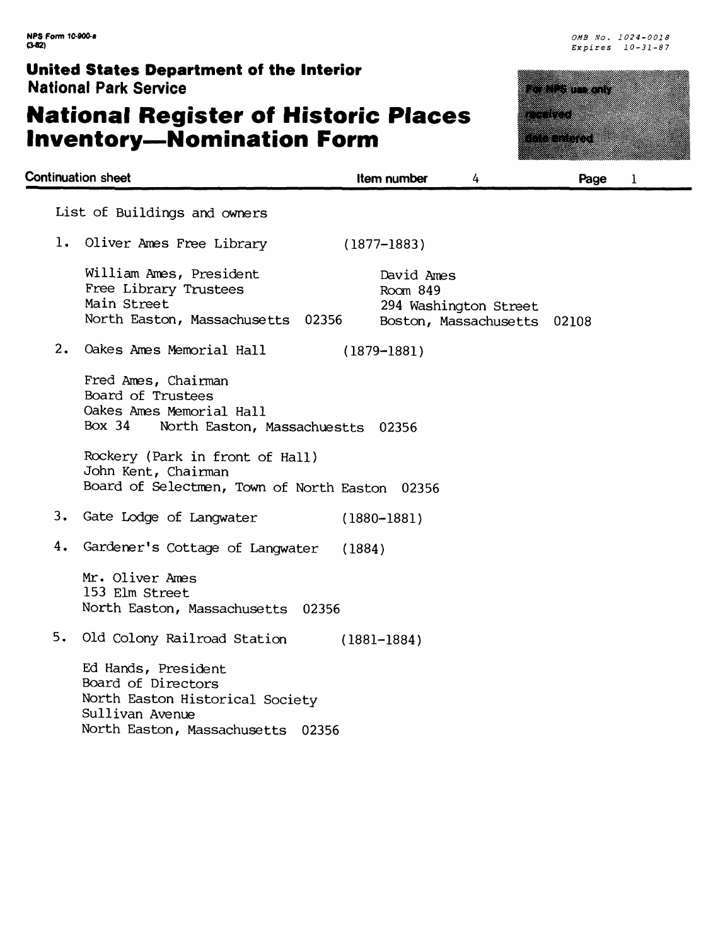# **National Register of Historic Places Inventory-Nomination Form**



a matsaya na kata

ana mpang a da kasance a shekarar 2009.<br>Bandar a shekarar 2009 **Continuation sheet Item number** *Page* 1 List of Buildings and owners 1. Oliver Ames Free Library (1877-1883) William Ames, President David Ames Free Library Trustees Room 849<br>Main Street 294 Wash 294 Washington Street North Easton, Massachusetts 02356 Boston, Massachusetts 02108 2. Oakes Ames Memorial Hall (1879-1881) Fred Ames, Chairman Board of Trustees Oakes Ames Memorial Hall Box 34 North Easton, Massachuestts 02356 Rockery (Park in front of Hall) John Kent, Chairman Board of Selectmen, Town of North Easton 02356 3. Gate Lodge of Langwater (1880-1881) 4. Gardener's Cottage of Langwater (1884) Mr. Oliver Ames 153 Elm Street North Easton, Massachusetts 02356 5. Old Colony Railroad Station (1881-1884) Ed Hands, President Board of Directors North Easton Historical Society Sullivan Avenue North Easton, Massachusetts 02356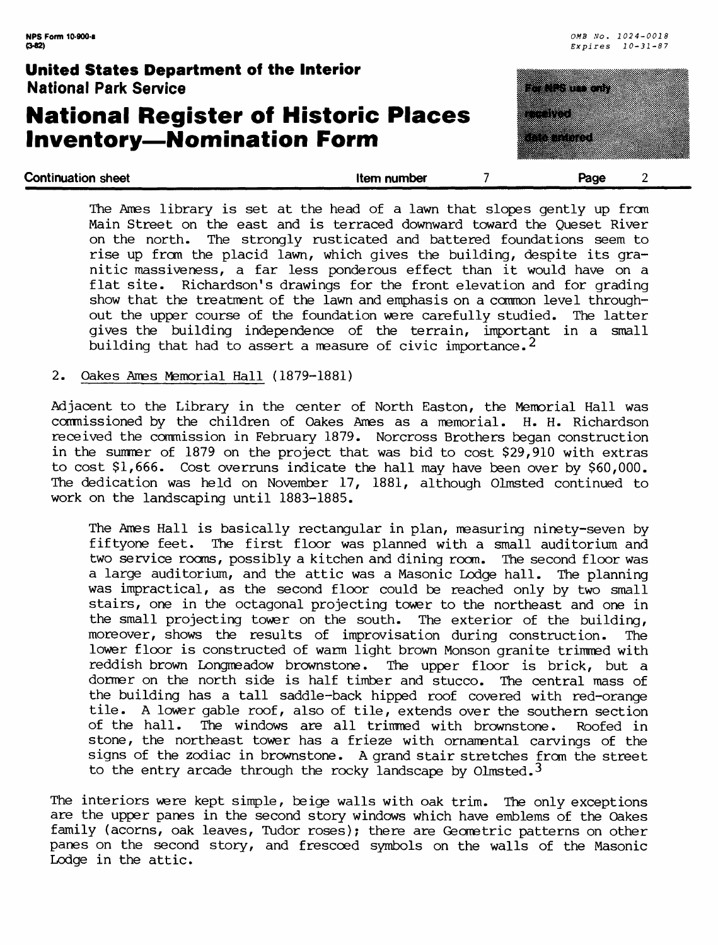### **National Register of Historic Places Inventory—Nomination Form**



| The Ames library is set at the head of a lawn that slopes gently up from    |
|-----------------------------------------------------------------------------|
|                                                                             |
| Main Street on the east and is terraced downward toward the Queset River    |
| on the north. The strongly rusticated and battered foundations seem to      |
| rise up from the placid lawn, which gives the building, despite its gra-    |
| nitic massiveness, a far less ponderous effect than it would have on a      |
| flat site. Richardson's drawings for the front elevation and for grading    |
| show that the treatment of the lawn and emphasis on a common level through- |
| out the upper course of the foundation were carefully studied. The latter   |
| gives the building independence of the terrain, important in a small        |
| building that had to assert a measure of civic importance. <sup>2</sup>     |

#### 2. Oakes Ames Memorial Hall (1879-1881)

Adjacent to the Library in the center of North Easton, the Memorial Hall was commissioned by the children of Oakes Ames as a memorial. H. H. Richardson received the commission in February 1879. Norcross Brothers began construction in the summer of 1879 on the project that was bid to cost \$29,910 with extras to cost \$1,666. Cost overruns indicate the hall may have been over by \$60,000. The dedication was held on November 17, 1881, although Olmsted continued to work on the landscaping until 1883-1885.

The Ames Hall is basically rectangular in plan, measuring ninety-seven by fiftyone feet. The first floor was planned with a small auditorium and two service rooms, possibly a kitchen and dining room. The second floor was a large auditorium, and the attic was a Masonic Lodge hall. The planning was impractical, as the second floor could be reached only by two small stairs, one in the octagonal projecting tower to the northeast and one in the small projecting tower on the south. The exterior of the building, moreover, shows the results of improvisation during construction. The lower floor is constructed of warm light brown Monson granite trimmed with reddish brown Longmeadow brownstone. The upper floor is brick, but a dormer on the north side is half timber and stucco. The central mass of the building has a tall saddle-back hipped roof covered with red-orange tile. A lower gable roof, also of tile, extends over the southern section of the hall. The windows are all trimmed with brownstone. Roofed in stone, the northeast tower has a frieze with ornamental carvings of the signs of the zodiac in brownstone. A grand stair stretches from the street to the entry arcade through the rocky landscape by Olmsted.<sup>3</sup>

The interiors were kept simple, beige walls with oak trim. The only exceptions are the upper panes in the second story windows which have emblems of the Oakes family (acorns, oak leaves, Tudor roses); there are Geometric patterns on other panes on the second story, and frescoed symbols on the walls of the Masonic Lodge in the attic.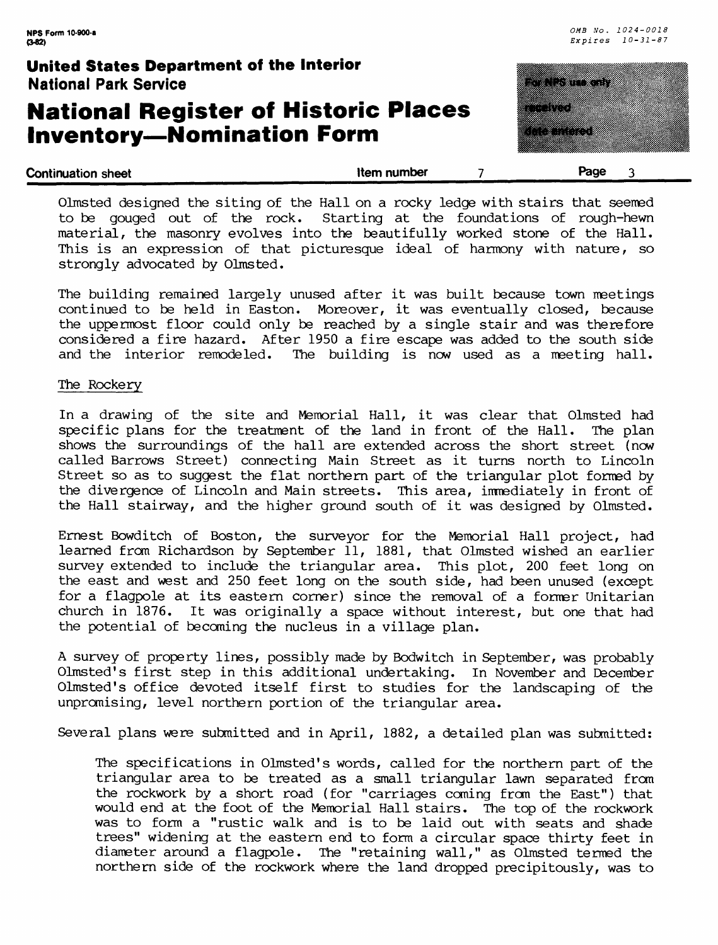strongly advocated by Olmsted.

### **National Register of Historic Places Inventory — Nomination Form**



| <b>Continuation sheet</b>                                                        | <b>Item number</b> | Page |
|----------------------------------------------------------------------------------|--------------------|------|
| Olmsted designed the siting of the Hall on a rocky ledge with stairs that seemed |                    |      |
| to be gouged out of the rock. Starting at the foundations of rough-hewn          |                    |      |
| material, the masonry evolves into the beautifully worked stone of the Hall.     |                    |      |
| This is an expression of that picturesque ideal of harmony with nature, so       |                    |      |

The building remained largely unused after it was built because town meetings continued to be held in Easton. Moreover, it was eventually closed, because the uppermost floor could only be reached by a single stair and was therefore considered a fire hazard. After 1950 a fire escape was added to the south side and the interior remodeled. The building is now used as a meeting hall. The building is now used as a meeting hall.

#### The Rockery

In a drawing of the site and Memorial Hall, it was clear that Olmsted had specific plans for the treatment of the land in front of the Hall. The plan shows the surroundings of the hall are extended across the short street (now called Barrows Street) connecting Main Street as it turns north to Lincoln Street so as to suggest the flat northern part of the triangular plot formed by the divergence of Lincoln and Main streets. This area, immediately in front of the Hall stairway, and the higher ground south of it was designed by Olmsted.

Ernest Bowditch of Boston, the surveyor for the Memorial Hall project, had learned from Richardson by September 11, 1881, that Olmsted wished an earlier survey extended to include the triangular area. This plot, 200 feet long on the east and west and 250 feet long on the south side, had been unused (except for a flagpole at its eastern corner) since the removal of a former Unitarian church in 1876. It was originally a space without interest, but one that had the potential of becoming the nucleus in a village plan.

A survey of property lines, possibly made by Bodwitch in September, was probably Olmsted' s first step in this additional undertaking. In November and December Olmsted's office devoted itself first to studies for the landscaping of the unpromising, level northern portion of the triangular area.

Several plans were submitted and in April, 1882, a detailed plan was submitted:

The specifications in Olmsted 's words, called for the northern part of the triangular area to be treated as a small triangular lawn separated from the rockwork by a short road (for "carriages coming from the East") that would end at the foot of the Memorial Hall stairs. The top of the rockwork was to form a "rustic walk and is to be laid out with seats and shade trees" widening at the eastern end to form a circular space thirty feet in diameter around a flagpole. The "retaining wall," as Olmsted termed the northern side of the rockwork where the land dropped precipitously, was to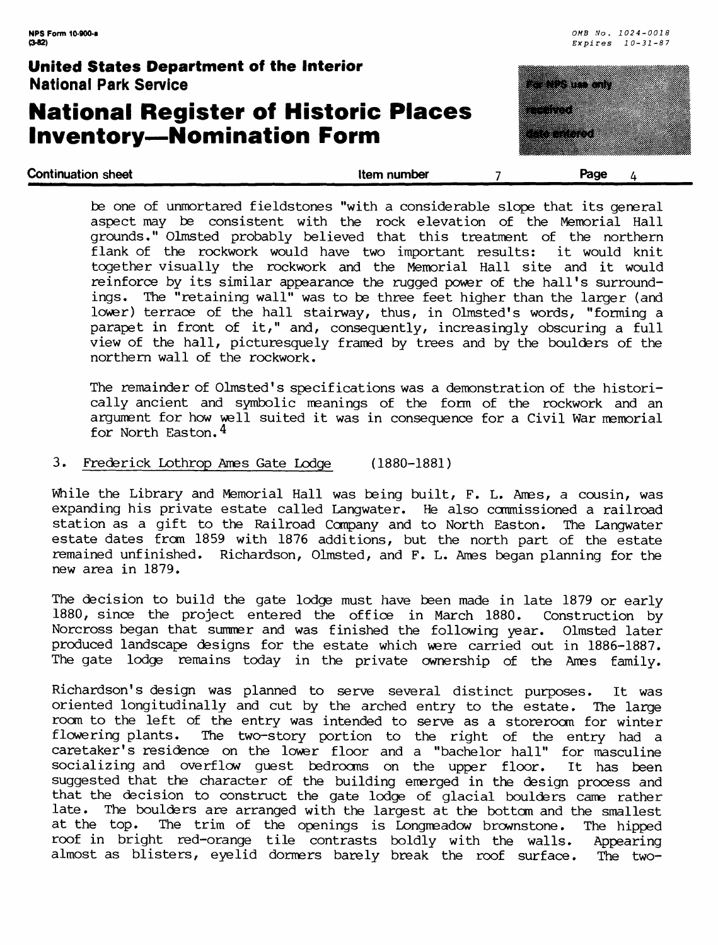### **National Register of Historic Places Inventory—Nomination Form**



| <b>Continuation sheet</b> | Item number | Page<br>$\mu$ |
|---------------------------|-------------|---------------|
|                           |             |               |

be one of unmortared fieldstones "with a considerable slope that its general aspect may be consistent with the rock elevation of the Memorial Hall grounds." Olmsted probably believed that this treatment of the northern flank of the rockwork would have two important results: it would knit together visually the rockwork and the Memorial Hall site and it would reinforce by its similar appearance the rugged power of the hall's surroundings. The "retaining wall" was to be three feet higher than the larger (and lower) terrace of the hall stairway, thus, in Olmsted's words, "forming a parapet in front of it," and, consequently, increasingly obscuring a full view of the hall, picturesquely framed by trees and by the boulders of the northern wall of the rockwork.

The remainder of Olmsted's specifications was a demonstration of the historically ancient and symbolic meanings of the form of the rockwork and an argument for how well suited it was in consequence for a Civil War memorial for North Easton. 4

#### 3. Frederick Lothrop Ames Gate Lodge (1880-1881)

While the Library and Memorial Hall was being built, F. L. Ames, a cousin, was expanding his private estate called Langwater. He also commissioned a railroad station as a gift to the Railroad Company and to North Easton. The Langwater estate dates from 1859 with 1876 additions, but the north part of the estate remained unfinished. Richardson, Olmsted, and F. L. Ames began planning for the Richardson, Olmsted, and F. L. Ames began planning for the new area in 1879.

The decision to build the gate lodge must have been made in late 1879 or early 1880, since the project entered the office in March 1880. Construction by Norcross began that summer and was finished the following year. Olmsted later produced landscape designs for the estate which were carried out in 1886-1887. The gate lodge remains today in the private ownership of the Ames family.

Richardson's design was planned to serve several distinct purposes. It was oriented longitudinally and cut by the arched entry to the estate. The large room to the left of the entry was intended to serve as a storeroom for winter<br>flowering plants. The two-story portion to the right of the entry had a The two-story portion to the right of the entry had a caretaker's residence on the lower floor and a "bachelor hall" for masculine socializing and overflow guest bedrooms on the upper floor. It has been suggested that the character of the building emerged in the design process and that the decision to construct the gate lodge of glacial boulders came rather late. The boulders are arranged with the largest at the bottom and the smallest at the top. The trim of the openings is Longmeadow brownstone. The hipped roof in bright red-orange tile contrasts boldly with the walls. Appearing almost as blisters, eyelid dormers barely break the roof surface. The two-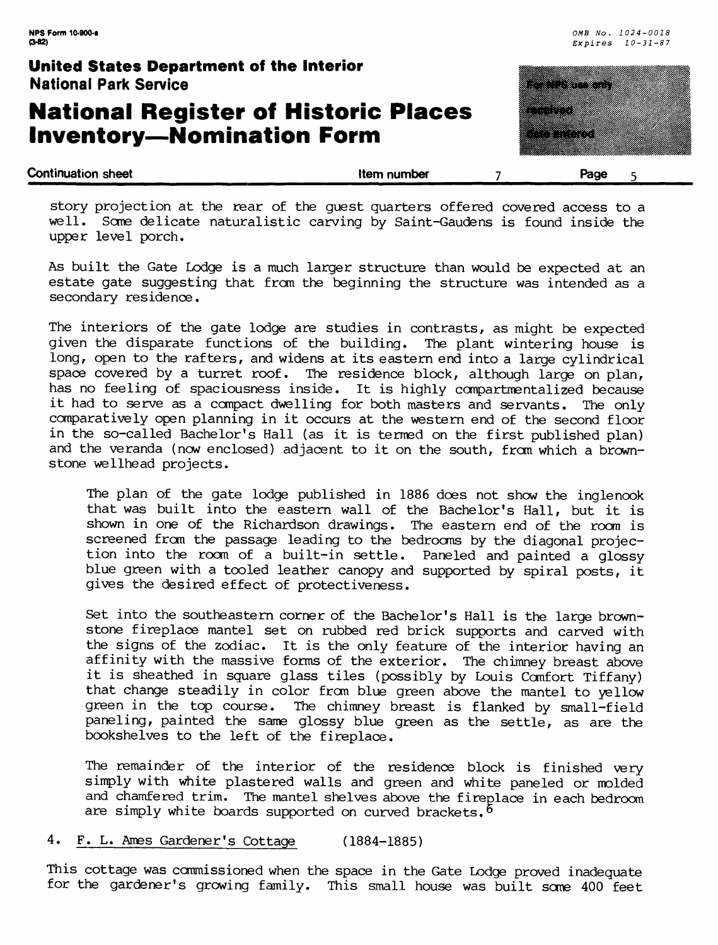# **National Register of Historic Places Inventory—Nomination Form**



story projection at the rear of the guest quarters offered covered access to a well. Some delicate naturalistic carving by Saint-Gaudens is found inside the upper level porch.

As built the Gate Lodge is a much larger structure than would be expected at an estate gate suggesting that from the beginning the structure was intended as a secondary residence.

The interiors of the gate lodge are studies in contrasts, as might be expected given the disparate functions of the building. The plant wintering house is long, open to the rafters, and widens at its eastern end into a large cylindrical space covered by a turret roof. The residence block, although large on plan, has no feeling of spaciousness inside. It is highly compartmentalized because it had to serve as a compact dwelling for both masters and servants. The only comparatively open planning in it occurs at the western end of the second floor in the so-called Bachelor's Hall (as it is termed on the first published plan) and the veranda (now enclosed) adjacent to it on the south, from which a brownstone wellhead projects.

The plan of the gate lodge published in 1886 does not show the inglenook that was built into the eastern wall of the Bachelor's Hall, but it is shown in one of the Richardson drawings. The eastern end of the room is screened from the passage leading to the bedrooms by the diagonal projection into the room of a built-in settle. Paneled and painted a glossy blue green with a tooled leather canopy and supported by spiral posts, it gives the desired effect of protectiveness.

Set into the southeastern corner of the Bachelor's Hall is the large brownstone fireplace mantel set on rubbed red brick supports and carved with the signs of the zodiac. It is the only feature of the interior having an affinity with the massive forms of the exterior. The chimney breast above it is sheathed in square glass tiles (possibly by Louis Comfort Tiffany) that change steadily in color from blue green above the mantel to yellow green in the top course. The chimney breast is flanked by small-field paneling, painted the same glossy blue green as the settle, as are the bookshelves to the left of the fireplace.

The remainder of the interior of the residence block is finished very simply with white plastered walls and green and white paneled or molded and chamfered trim. The mantel shelves above the fireplace in each bedroom are simply white boards supported on curved brackets.  $6$ 

#### 4. F. L. Ames Gardener's Cottage (1884-1885)

This cottage was commissioned when the space in the Gate Lodge proved inadequate for the gardener's growing family. This small house was built some 400 feet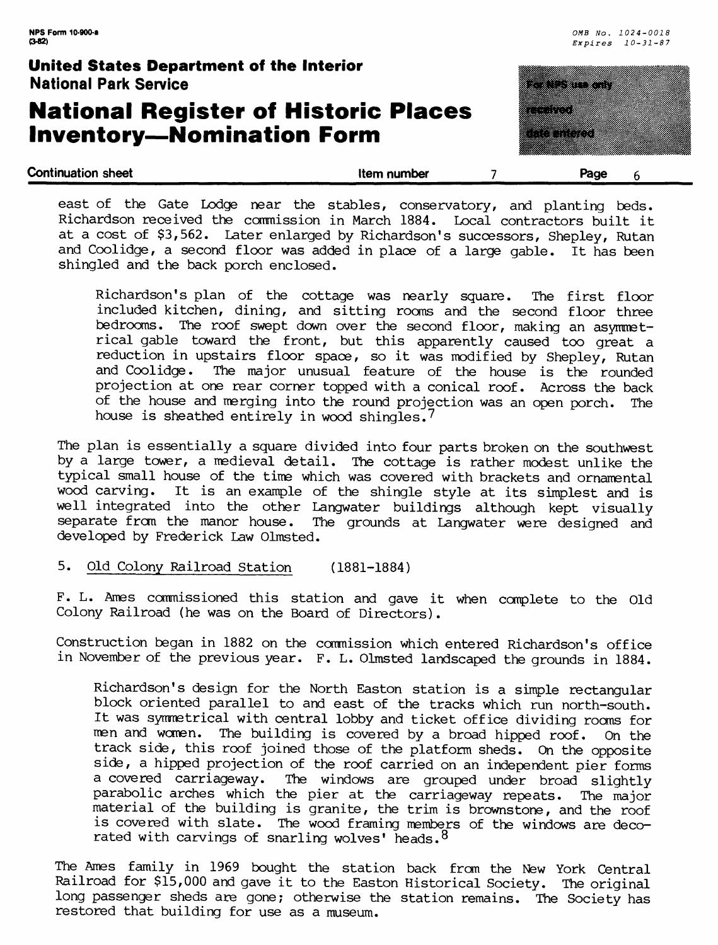### **National Register of Historic Places Inventory—Nomination Form**



| east of the Gate Lodge near the stables, conservatory, and planting beds.       |  |
|---------------------------------------------------------------------------------|--|
| Richardson received the commission in March 1884. Local contractors built it    |  |
| at a cost of \$3,562. Later enlarged by Richardson's successors, Shepley, Rutan |  |
| and Coolidge, a second floor was added in place of a large gable. It has been   |  |
| shingled and the back porch enclosed.                                           |  |

Richardson's plan of the cottage was nearly square. The first floor included kitchen, dining, and sitting rooms and the second floor three bedrooms. The roof swept down over the second floor, making an asymmetrical gable toward the front, but this apparently caused too great a reduction in upstairs floor space, so it was modified by Shepley, Rutan and Coolidge. The major unusual feature of the house is the rounded projection at one rear corner topped with a conical roof. Across the back of the house and merging into the round projection was an open porch. The house is sheathed entirely in wood shingles.<sup>7</sup>

The plan is essentially a square divided into four parts broken on the southwest by a large tower, a medieval detail. The cottage is rather modest unlike the typical small house of the time which was covered with brackets and ornamental wood carving. It is an example of the shingle style at its simplest and is well integrated into the other Langwater buildings although kept visually<br>separate from the manor house. The grounds at Langwater were designed and The grounds at Langwater were designed and developed by Frederick Law Olmsted.

#### 5. Old Colony Railroad Station (1881-1884)

F. L. Ames commissioned this station and gave it when complete to the Old Colony Railroad (he was on the Board of Directors).

Construction began in 1882 on the commission which entered Richardson's office in November of the previous year. F. L. Olmsted landscaped the grounds in 1884.

Richardson's design for the North Easton station is a simple rectangular block oriented parallel to and east of the tracks which run north-south. It was symmetrical with central lobby and ticket office dividing rooms for men and women. The building is covered by a broad hipped roof. On the track side, this roof joined those of the platform sheds. On the opposite side, a hipped projection of the roof carried on an independent pier forms a covered carriageway. The windows are grouped under broad slightly parabolic arches which the pier at the carriageway repeats. The major material of the building is granite, the trim is brownstone, and the roof is covered with slate. The wood framing members of the windows are decorated with carvings of snarling wolves' heads.<sup>8</sup>

The Ames family in 1969 bought the station back from the New York Central Railroad for \$15,000 and gave it to the Easton Historical Society. The original long passenger sheds are gone; otherwise the station remains. The Society has restored that building for use as a museum.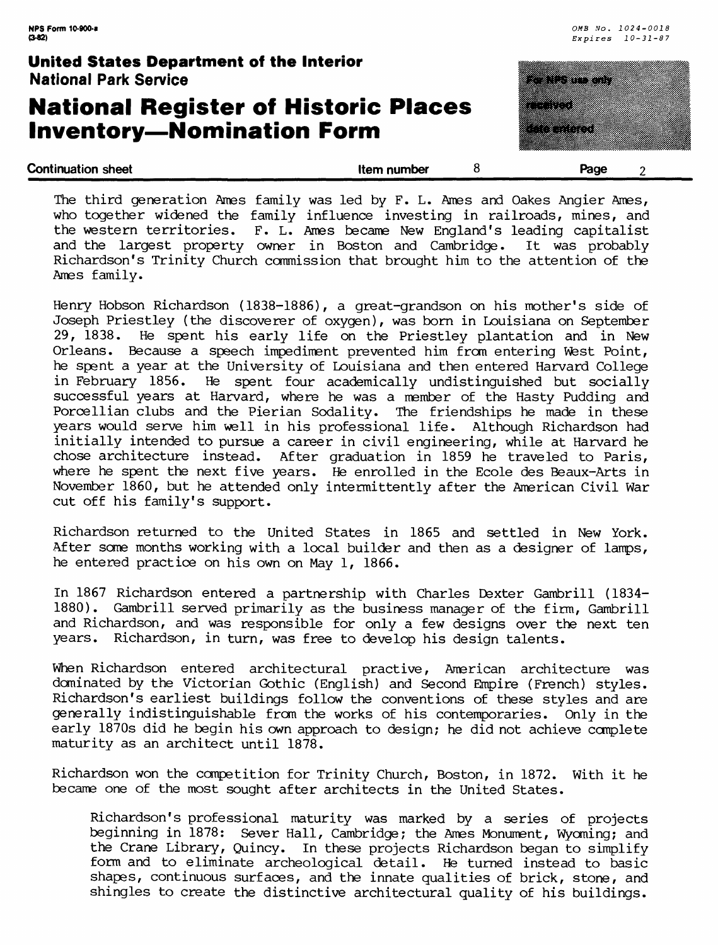### **National Register of Historic Places Inventory—Nomination Form**



The third generation Ames family was led by F. L. Ames and Oakes Angier Ames, who together widened the family influence investing in railroads, mines, and the western territories. F. L. Ames became New England's leading capitalist<br>and the largest property owner in Boston and Cambridge. It was probably and the largest property owner in Boston and Cambridge. Richardson's Trinity Church commission that brought him to the attention of the Ames family.

Henry Hobson Richardson (1838-1886), a great-grandson on his mother's side of Joseph Priestley (the discoverer of oxygen), was born in Louisiana on September 29, 1838. He spent his early life on the Priestley plantation and in New Orleans. Because a speech impediment prevented him from entering West Point, he spent a year at the University of Louisiana and then entered Harvard College in February 1856. He spent four academically undistinguished but socially successful years at Harvard, where he was a member of the Hasty Pudding and Porcellian clubs and the Pierian Sodality. The friendships he made in these years would serve him well in his professional life. Although Richardson had initially intended to pursue a career in civil engineering, while at Harvard he chose architecture instead. After graduation in 1859 he traveled to Paris, where he spent the next five years. He enrolled in the Ecole des Beaux-Arts in November 1860, but he attended only intermittently after the American Civil War cut off his family's support.

Richardson returned to the United States in 1865 and settled in New York. After some months working with a local builder and then as a designer of lamps, he entered practice on his own on May 1, 1866.

In 1867 Richardson entered a partnership with Charles Dexter Gambrill (1834- 1880). Gambrill served primarily as the business manager of the firm, Gambrill and Richardson, and was responsible for only a few designs over the next ten years. Richardson, in turn, was free to develop his design talents.

When Richardson entered architectural practive, American architecture was dominated by the Victorian Gothic (English) and Second Empire (French) styles. Richardson's earliest buildings follow the conventions of these styles and are generally indistinguishable from the works of his contemporaries. Only in the early 1870s did he begin his own approach to design; he did not achieve complete maturity as an architect until 1878.

Richardson won the competition for Trinity Church, Boston, in 1872. With it he became one of the most sought after architects in the United States.

Richardson's professional maturity was marked by a series of projects beginning in 1878: Sever Hall, Cambridge; the Ames Monument, Wyoming; and the Crane Library, Quincy. In these projects Richardson began to simplify form and to eliminate archeological detail. He turned instead to basic shapes, continuous surfaces, and the innate qualities of brick, stone, and shingles to create the distinctive architectural quality of his buildings.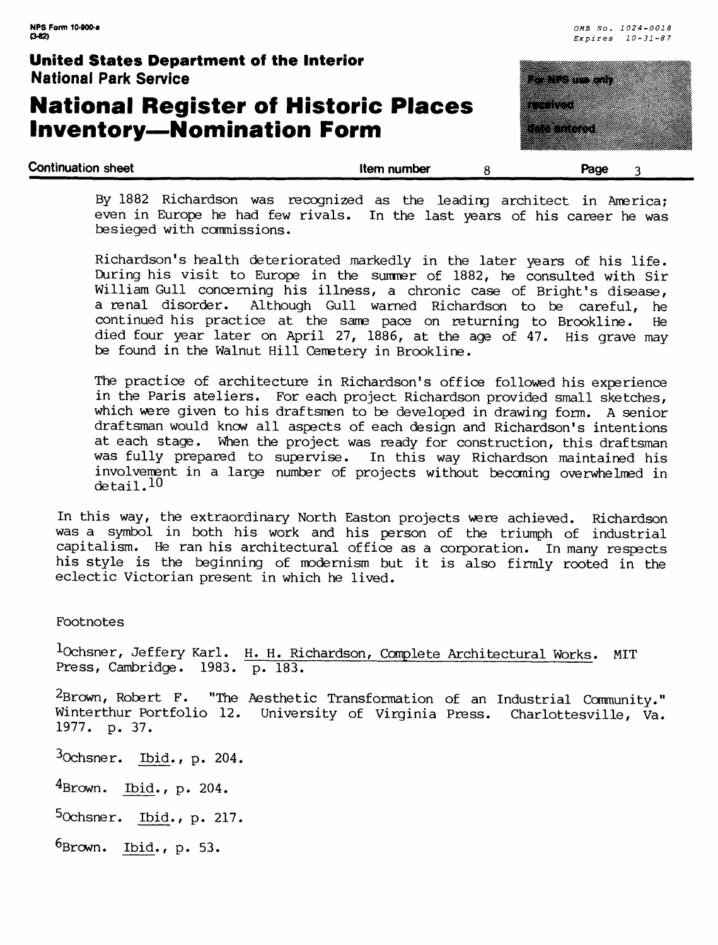# **National Register of Historic Places Inventory—Nomination Form**



By 1882 Richardson was recognized as the leading architect in America; even in Europe he had few rivals. In the last years of his career he was besieged with commissions.

Richardson's health deteriorated markedly in the later years of his life. During his visit to Europe in the summer of 1882, he consulted with Sir William Gull concerning his illness, a chronic case of Bright's disease,<br>a renal disorder. Although Gull warned Richardson to be careful, he Although Gull warned Richardson to be careful, he continued his practice at the same pace on returning to Brookline. He died four year later on April 27, 1886, at the age of 47. His grave may be found in the Walnut Hill Cemetery in Brookline.

The practice of architecture in Richardson's office followed his experience in the Paris ateliers. For each project Richardson provided small sketches, which were given to his draftsmen to be developed in drawing form. A senior draftsman would know all aspects of each design and Richardson's intentions at each stage. When the project was ready for construction, this draftsman was fully prepared to supervise. In this way Richardson maintained his involvement in a large number of projects without becoming overwhelmed in detail.<sup>10</sup>

In this way, the extraordinary North Easton projects were achieved. Richardson was a symbol in both his work and his person of the triumph of industrial capitalism. He ran his architectural office as a corporation. In many respects his style is the beginning of modernism but it is also firmly rooted in the eclectic Victorian present in which he lived.

Footnotes

lochsner, Jeffery Karl. H. H. Richardson, Complete Architectural Works. MIT Press, Cambridge. 1983. p. 183.

<sup>2</sup>Brown, Robert F. "The Aesthetic Transformation of an Industrial Community." Winterthur Portfolio 12. University of Virginia Press. Charlottesville, Va. 1977. p. 37.

 $3$ Ochsner. Ibid., p. 204.

4Brown. Ibid., p. 204.

5Ochsner. Ibid., p. 217.

 $6Brown.$  Ibid., p. 53.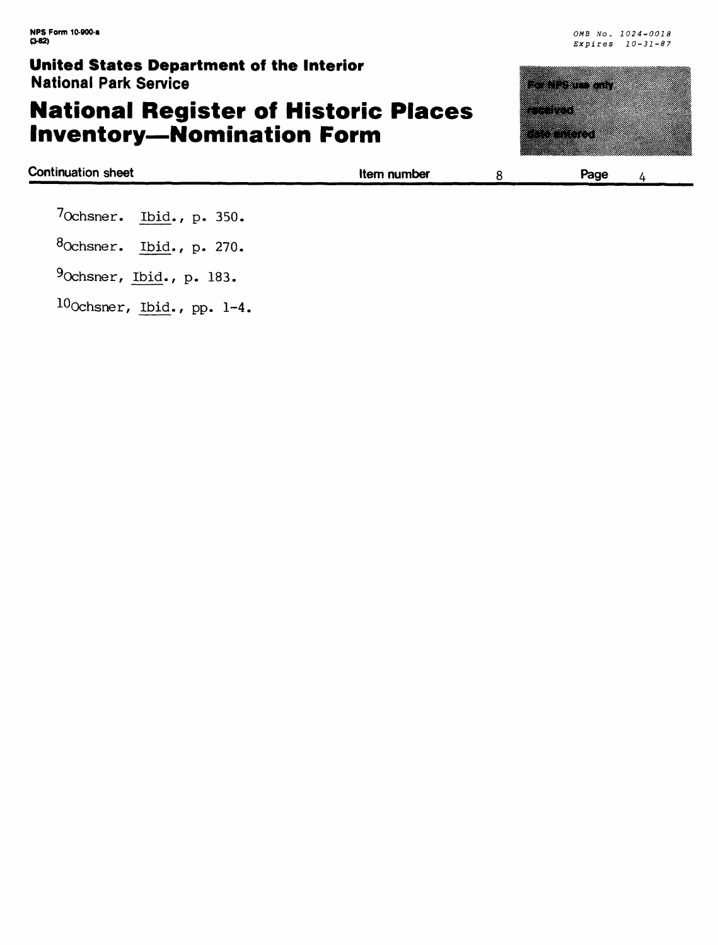# **National Register of Historic Places Inventory—Nomination Form**

| <u>sings sixted population of the medity.</u><br><b>National Park Service</b>   |             | <u> Tanzania (h. 1878).</u>                                                                                          |  |
|---------------------------------------------------------------------------------|-------------|----------------------------------------------------------------------------------------------------------------------|--|
| <b>National Register of Historic Places</b><br><b>Inventory-Nomination Form</b> |             | <u> Tanzania de Caractería de Caractería do Caractería do Caractería do Caractería do Caractería do Caractería d</u> |  |
| <b>Continuation sheet</b>                                                       | Item number | Page                                                                                                                 |  |

| 7 <sub>Ochsner.</sub> Ibid., p. 350. |  |  |
|--------------------------------------|--|--|

8Ochsner. Ibid., p. 270.

9Ochsner, Ibid., p. 183.

 $10$ Ochsner, Ibid., pp. 1-4.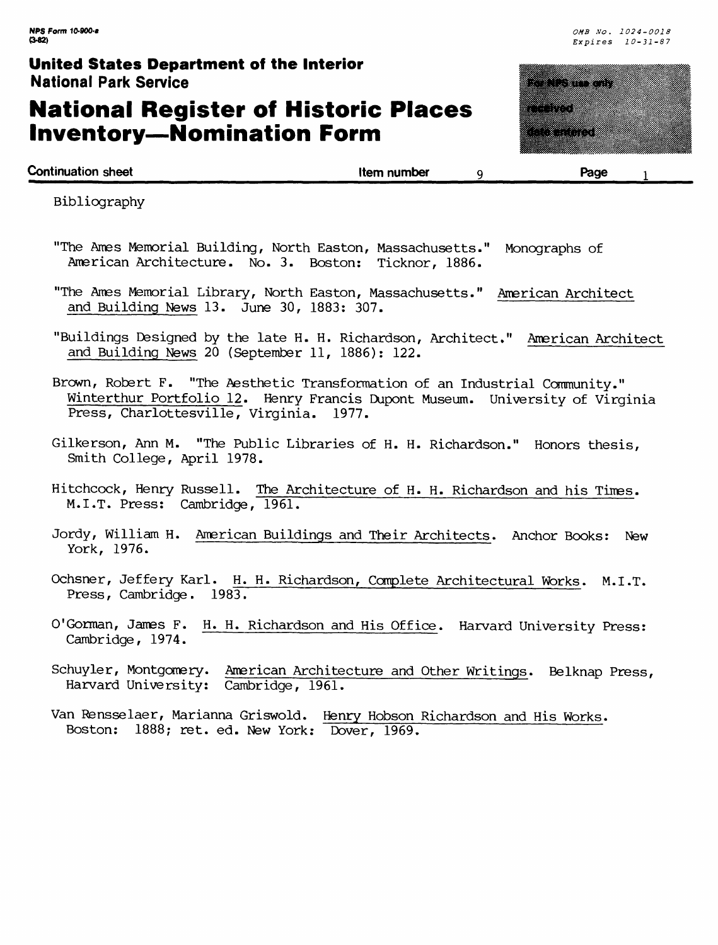# **National Register of Historic Places Inventory—Nomination Form**



| <b>Continuation sheet</b>                                     |             |      |
|---------------------------------------------------------------|-------------|------|
| the property and the company of the company of the company of | Item number | Page |

Bibliography

- "The Ames Memorial Building, North Easton, Massachusetts." Monographs of American Architecture. No. 3. Boston: Ticknor, 1886.
- "The Ames Memorial Library, North Easton, Massachusetts." American Architect and Building News 13. June 30, 1883: 307.
- "Buildings Designed by the late H. H. Richardson, Architect." American Architect and Building News 20 (September 11, 1886): 122.
- Brown, Robert F. "The Aesthetic Transformation of an Industrial Community." Winterthur Portfolio 12. Henry Francis Dupont Museum. University of Virginia Press, Charlottesville, Virginia. 1977.
- Gilkerson, Ann M. "The Public Libraries of H. H. Richardson." Honors thesis, Smith College, April 1978.
- Hitchcock, Henry Russell. The Architecture of H. H. Richardson and his Times. M.I.T. Press: Cambridge, 1961.
- Jordy, William H. American Buildings and Their Architects. Anchor Books: New York, 1976.
- Ochsner, Jeffery Karl. H. H. Richardson, Complete Architectural Works. M.I.T. Press, Cambridge. 1983.
- O'Gorman, James F. H. H. Richardson and His Office. Harvard University Press: Cambridge, 1974.
- Schuyler, Montgomery. American Architecture and Other Writings. Belknap Press, Harvard University: Cambridge, 1961.
- Van Rensselaer, Marianna Griswold. Henry Hobson Richardson and His Works. Boston: 1888; ret. ed. New York: Dover, 1969.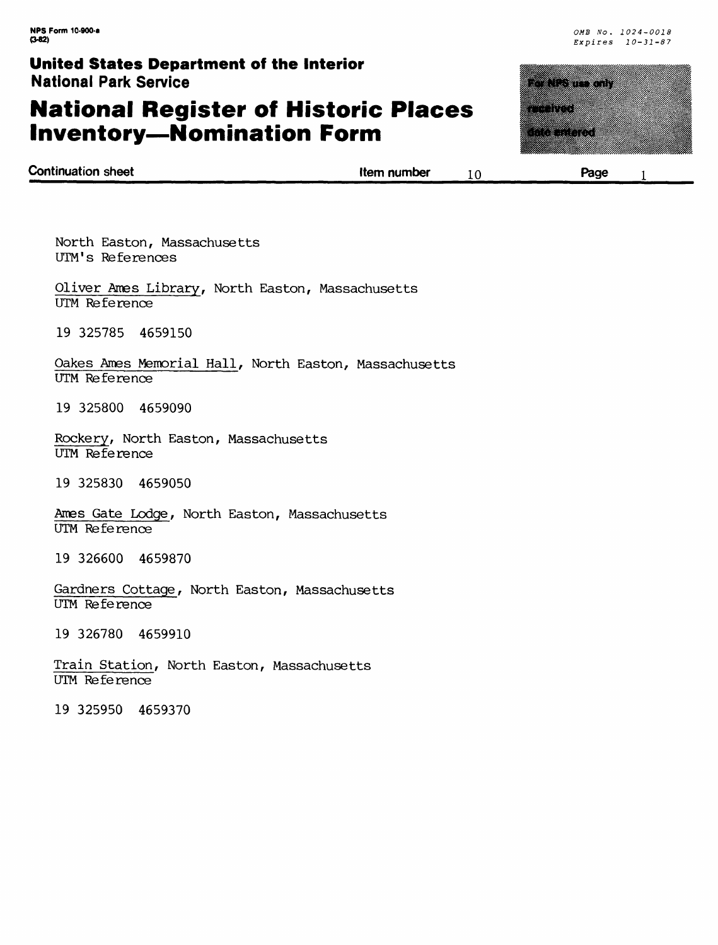# **National Register of Historic Places Inventory—Nomination Form**



| <b>Continuation sheet</b> |             |      |  |
|---------------------------|-------------|------|--|
|                           | Item number | Page |  |
|                           |             |      |  |

North Easton, Massachusetts UTM's References

Oliver Ames Library, North Easton, Massachusetts UTM Reference

19 325785 4659150

Qakes Ames Memorial Hall, North Easton, Massachusetts UTM Reference

19 325800 4659090

Rockery, North Easton, Massachusetts UTM Reference

19 325830 4659050

Ames Gate Lodge, North Easton, Massachusetts UTM Reference

19 326600 4659870

Gardners Cottage, North Easton, Massachusetts UTM Reference

19 326780 4659910

Train Station, North Easton, Massachusetts UTM Reference

19 325950 4659370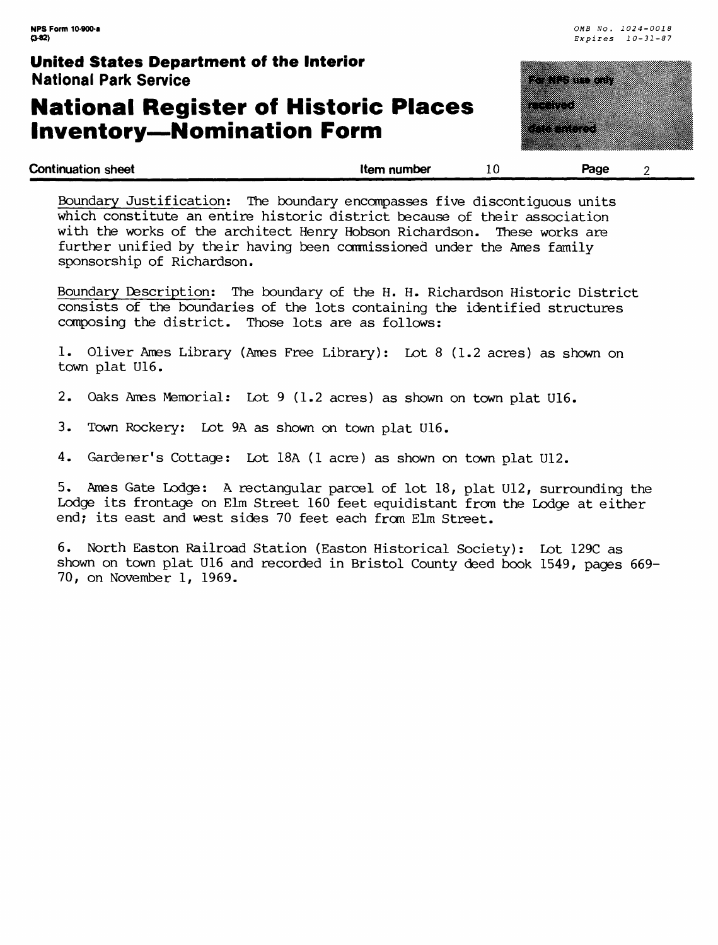## **National Register of Historic Places Inventory—Nomination Form**



| <b>Continuation sheet</b>                                                 | Item number | 10 | Page |  |
|---------------------------------------------------------------------------|-------------|----|------|--|
| Boundary Justification: The boundary encompasses five discontiquous units |             |    |      |  |
| which constitute an entire historic district because of their association |             |    |      |  |

with the works of the architect Henry Hobson Richardson. These works are further unified by their having been commissioned under the Ames family sponsorship of Richardson.

Boundary Description; The boundary of the H. H. Richardson Historic District consists of the boundaries of the lots containing the identified structures composing the district. Those lots are as follows;

1. Oliver Ames Library (Ames Free Library); Lot 8 (1.2 acres) as shown on town plat U16.

- 2. Oaks Ames Memorial; Lot 9 (1.2 acres) as shown on town plat U16.
- 3. Town Rockery; Lot 9A as shown on town plat U16.

4. Gardener's Cottage; Lot ISA (1 acre) as shown on town plat U12.

5. Ames Gate Lodge; A rectangular parcel of lot 18, plat U12, surrounding the Lodge its frontage on Elm Street 160 feet equidistant from the Lodge at either end; its east and west sides 70 feet each from Elm Street.

6. North Easton Railroad Station (Easton Historical Society): Lot 129C as shown on town plat U16 and recorded in Bristol County deed book 1549, pages 669- 70, on November 1, 1969.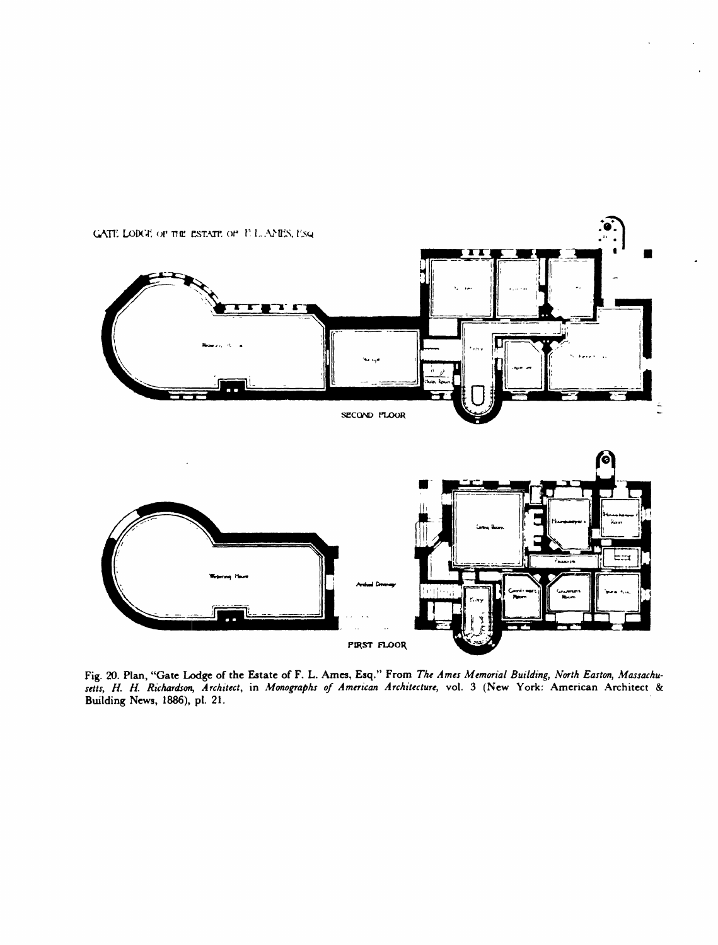

Fig. 20. **Plan, "Gate Lodge of the Estate of F. L.** Ames, Esq." From *The Ames Memorial Building, North Easton, Massachusetts, ff. H. Richardson, Architect,* in *Monographs of American Architecture,* vol. 3 (New York: American Architect & **Building** News, 1886), pi. 21.